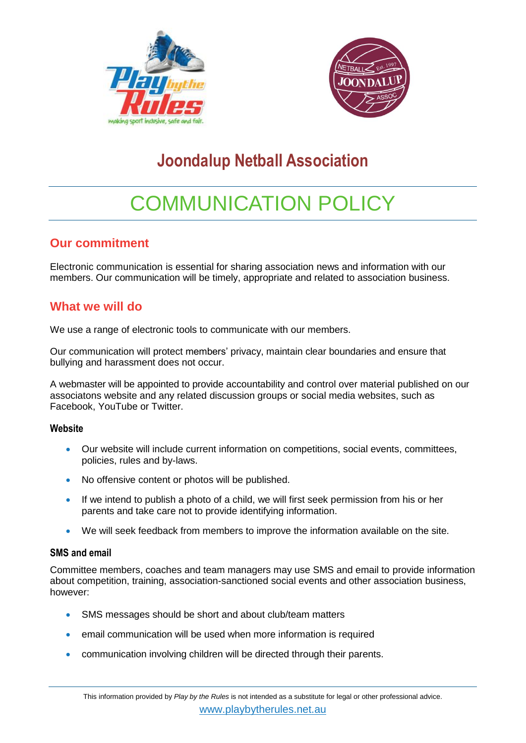



# **Joondalup Netball Association**

# COMMUNICATION POLICY

# **Our commitment**

Electronic communication is essential for sharing association news and information with our members. Our communication will be timely, appropriate and related to association business.

# **What we will do**

We use a range of electronic tools to communicate with our members.

Our communication will protect members' privacy, maintain clear boundaries and ensure that bullying and harassment does not occur.

A webmaster will be appointed to provide accountability and control over material published on our associatons website and any related discussion groups or social media websites, such as Facebook, YouTube or Twitter.

#### **Website**

- Our website will include current information on competitions, social events, committees, policies, rules and by-laws.
- No offensive content or photos will be published.
- If we intend to publish a photo of a child, we will first seek permission from his or her parents and take care not to provide identifying information.
- We will seek feedback from members to improve the information available on the site.

#### **SMS and email**

Committee members, coaches and team managers may use SMS and email to provide information about competition, training, association-sanctioned social events and other association business, however:

- SMS messages should be short and about club/team matters
- **•** email communication will be used when more information is required
- communication involving children will be directed through their parents.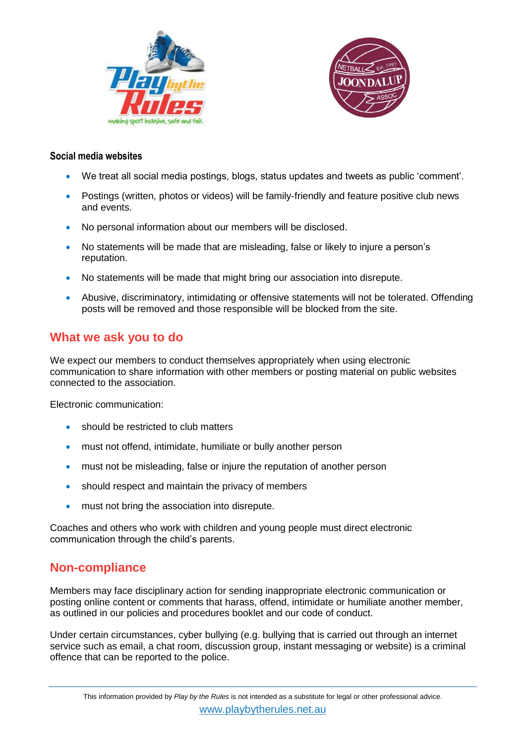



#### **Social media websites**

- We treat all social media postings, blogs, status updates and tweets as public 'comment'.
- Postings (written, photos or videos) will be family-friendly and feature positive club news and events.
- No personal information about our members will be disclosed.
- No statements will be made that are misleading, false or likely to injure a person's reputation.
- No statements will be made that might bring our association into disrepute.
- Abusive, discriminatory, intimidating or offensive statements will not be tolerated. Offending posts will be removed and those responsible will be blocked from the site.

## **What we ask you to do**

We expect our members to conduct themselves appropriately when using electronic communication to share information with other members or posting material on public websites connected to the association.

Electronic communication:

- should be restricted to club matters
- must not offend, intimidate, humiliate or bully another person
- must not be misleading, false or injure the reputation of another person
- should respect and maintain the privacy of members
- **•** must not bring the association into disrepute.

Coaches and others who work with children and young people must direct electronic communication through the child's parents.

## **Non-compliance**

Members may face disciplinary action for sending inappropriate electronic communication or posting online content or comments that harass, offend, intimidate or humiliate another member, as outlined in our policies and procedures booklet and our code of conduct.

Under certain circumstances, cyber bullying (e.g. bullying that is carried out through an internet service such as email, a chat room, discussion group, instant messaging or website) is a criminal offence that can be reported to the police.